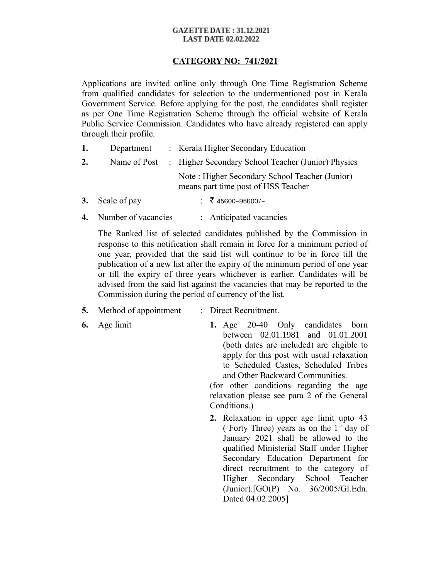#### **GAZETTE DATE: 31.12.2021 LAST DATE 02.02.2022**

### **CATEGORY NO: 741/2021**

Applications are invited online only through One Time Registration Scheme from qualified candidates for selection to the undermentioned post in Kerala Government Service. Before applying for the post, the candidates shall register as per One Time Registration Scheme through the official website of Kerala Public Service Commission. Candidates who have already registered can apply through their profile.

- **1.** Department : Kerala Higher Secondary Education
- **2.** Name of Post : Higher Secondary School Teacher (Junior) Physics Note : Higher Secondary School Teacher (Junior) means part time post of HSS Teacher
- **3.** Scale of pay :  $\bar{\zeta}$  45600-95600/-
- **4.** Number of vacancies : Anticipated vacancies

The Ranked list of selected candidates published by the Commission in response to this notification shall remain in force for a minimum period of one year, provided that the said list will continue to be in force till the publication of a new list after the expiry of the minimum period of one year or till the expiry of three years whichever is earlier. Candidates will be advised from the said list against the vacancies that may be reported to the Commission during the period of currency of the list.

- **5.** Method of appointment : Direct Recruitment.
- 
- **6.** Age limit **1.** Age 20-40 Only candidates born between 02.01.1981 and 01.01.2001 (both dates are included) are eligible to apply for this post with usual relaxation to Scheduled Castes, Scheduled Tribes and Other Backward Communities.

(for other conditions regarding the age relaxation please see para 2 of the General Conditions.)

**2.** Relaxation in upper age limit upto 43 ( Forty Three) years as on the  $1<sup>st</sup>$  day of January 2021 shall be allowed to the qualified Ministerial Staff under Higher Secondary Education Department for direct recruitment to the category of Higher Secondary School Teacher (Junior).[GO(P) No. 36/2005/Gl.Edn. Dated 04.02.2005]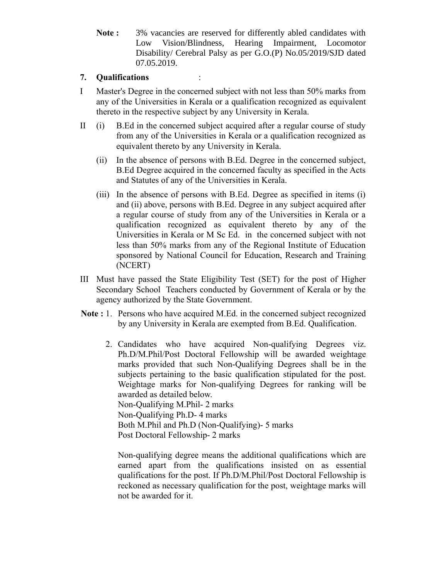**Note :** 3% vacancies are reserved for differently abled candidates with Low Vision/Blindness, Hearing Impairment, Locomotor Disability/ Cerebral Palsy as per G.O.(P) No.05/2019/SJD dated 07.05.2019.

## **7. Qualifications** :

- I Master's Degree in the concerned subject with not less than 50% marks from any of the Universities in Kerala or a qualification recognized as equivalent thereto in the respective subject by any University in Kerala.
- II (i) B.Ed in the concerned subject acquired after a regular course of study from any of the Universities in Kerala or a qualification recognized as equivalent thereto by any University in Kerala.
	- (ii) In the absence of persons with B.Ed. Degree in the concerned subject, B.Ed Degree acquired in the concerned faculty as specified in the Acts and Statutes of any of the Universities in Kerala.
	- (iii) In the absence of persons with B.Ed. Degree as specified in items (i) and (ii) above, persons with B.Ed. Degree in any subject acquired after a regular course of study from any of the Universities in Kerala or a qualification recognized as equivalent thereto by any of the Universities in Kerala or M Sc Ed. in the concerned subject with not less than 50% marks from any of the Regional Institute of Education sponsored by National Council for Education, Research and Training (NCERT)
- III Must have passed the State Eligibility Test (SET) for the post of Higher Secondary School Teachers conducted by Government of Kerala or by the agency authorized by the State Government.
- **Note :** 1. Persons who have acquired M.Ed. in the concerned subject recognized by any University in Kerala are exempted from B.Ed. Qualification.
	- 2. Candidates who have acquired Non-qualifying Degrees viz. Ph.D/M.Phil/Post Doctoral Fellowship will be awarded weightage marks provided that such Non-Qualifying Degrees shall be in the subjects pertaining to the basic qualification stipulated for the post. Weightage marks for Non-qualifying Degrees for ranking will be awarded as detailed below. Non-Qualifying M.Phil- 2 marks Non-Qualifying Ph.D- 4 marks

Both M.Phil and Ph.D (Non-Qualifying)- 5 marks

Post Doctoral Fellowship- 2 marks

Non-qualifying degree means the additional qualifications which are earned apart from the qualifications insisted on as essential qualifications for the post. If Ph.D/M.Phil/Post Doctoral Fellowship is reckoned as necessary qualification for the post, weightage marks will not be awarded for it.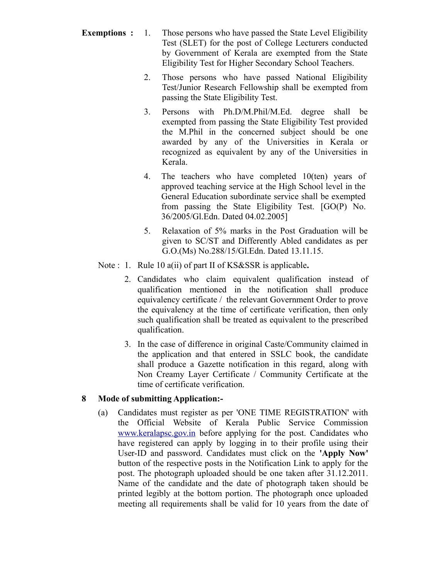- **Exemptions :** 1. Those persons who have passed the State Level Eligibility Test (SLET) for the post of College Lecturers conducted by Government of Kerala are exempted from the State Eligibility Test for Higher Secondary School Teachers.
	- 2. Those persons who have passed National Eligibility Test/Junior Research Fellowship shall be exempted from passing the State Eligibility Test.
	- 3. Persons with Ph.D/M.Phil/M.Ed. degree shall be exempted from passing the State Eligibility Test provided the M.Phil in the concerned subject should be one awarded by any of the Universities in Kerala or recognized as equivalent by any of the Universities in Kerala.
	- 4. The teachers who have completed 10(ten) years of approved teaching service at the High School level in the General Education subordinate service shall be exempted from passing the State Eligibility Test. [GO(P) No. 36/2005/Gl.Edn. Dated 04.02.2005]
	- 5. Relaxation of 5% marks in the Post Graduation will be given to SC/ST and Differently Abled candidates as per G.O.(Ms) No.288/15/Gl.Edn. Dated 13.11.15.
	- Note : 1. Rule 10 a(ii) of part II of KS&SSR is applicable**.** 
		- 2. Candidates who claim equivalent qualification instead of qualification mentioned in the notification shall produce equivalency certificate / the relevant Government Order to prove the equivalency at the time of certificate verification, then only such qualification shall be treated as equivalent to the prescribed qualification.
		- 3. In the case of difference in original Caste/Community claimed in the application and that entered in SSLC book, the candidate shall produce a Gazette notification in this regard, along with Non Creamy Layer Certificate / Community Certificate at the time of certificate verification.

# **8 Mode of submitting Application:-**

(a) Candidates must register as per 'ONE TIME REGISTRATION' with the Official Website of Kerala Public Service Commission [www.keralapsc.gov.in](http://www.kerealapsc.gov.in/) before applying for the post. Candidates who have registered can apply by logging in to their profile using their User-ID and password. Candidates must click on the **'Apply Now'** button of the respective posts in the Notification Link to apply for the post. The photograph uploaded should be one taken after 31.12.2011. Name of the candidate and the date of photograph taken should be printed legibly at the bottom portion. The photograph once uploaded meeting all requirements shall be valid for 10 years from the date of